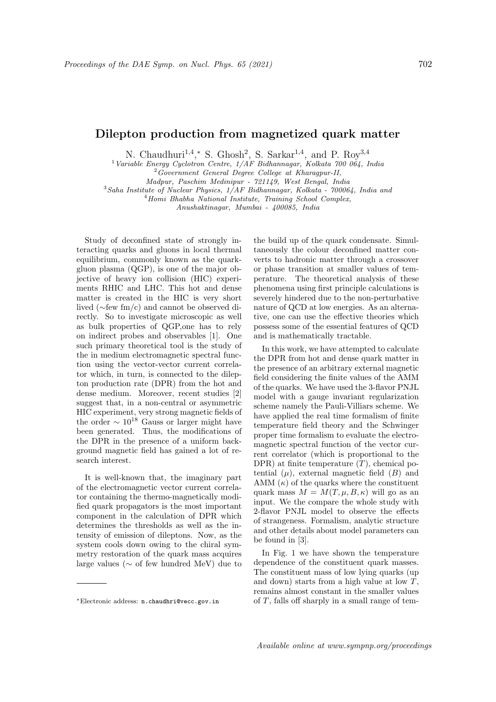## Dilepton production from magnetized quark matter

N. Chaudhuri<sup>1,4</sup>,\* S. Ghosh<sup>2</sup>, S. Sarkar<sup>1,4</sup>, and P. Roy<sup>3,4</sup>

<sup>1</sup> Variable Energy Cyclotron Centre,  $1/AF$  Bidhannagar, Kolkata 700 064, India

<sup>2</sup>Government General Degree College at Kharagpur-II,

Madpur, Paschim Medinipur - 721149, West Bengal, India

 $3$ Saha Institute of Nuclear Physics,  $1/AF$  Bidhannagar, Kolkata - 700064, India and

 $4$ Homi Bhabha National Institute, Training School Complex, Anushaktinagar, Mumbai - 400085, India

Study of deconfined state of strongly interacting quarks and gluons in local thermal equilibrium, commonly known as the quarkgluon plasma (QGP), is one of the major objective of heavy ion collision (HIC) experiments RHIC and LHC. This hot and dense matter is created in the HIC is very short lived (∼few fm/c) and cannot be observed directly. So to investigate microscopic as well as bulk properties of QGP,one has to rely on indirect probes and observables [1]. One such primary theoretical tool is the study of the in medium electromagnetic spectral function using the vector-vector current correlator which, in turn, is connected to the dilepton production rate (DPR) from the hot and dense medium. Moreover, recent studies [2] suggest that, in a non-central or asymmetric HIC experiment, very strong magnetic fields of the order  $\sim 10^{18}$  Gauss or larger might have been generated. Thus, the modifications of the DPR in the presence of a uniform background magnetic field has gained a lot of research interest.

It is well-known that, the imaginary part of the electromagnetic vector current correlator containing the thermo-magnetically modified quark propagators is the most important component in the calculation of DPR which determines the thresholds as well as the intensity of emission of dileptons. Now, as the system cools down owing to the chiral symmetry restoration of the quark mass acquires large values ( $\sim$  of few hundred MeV) due to

the build up of the quark condensate. Simultaneously the colour deconfined matter converts to hadronic matter through a crossover or phase transition at smaller values of temperature. The theoretical analysis of these phenomena using first principle calculations is severely hindered due to the non-perturbative nature of QCD at low energies. As an alternative, one can use the effective theories which possess some of the essential features of QCD and is mathematically tractable.

In this work, we have attempted to calculate the DPR from hot and dense quark matter in the presence of an arbitrary external magnetic field considering the finite values of the AMM of the quarks. We have used the 3-flavor PNJL model with a gauge invariant regularization scheme namely the Pauli-Villiars scheme. We have applied the real time formalism of finite temperature field theory and the Schwinger proper time formalism to evaluate the electromagnetic spectral function of the vector current correlator (which is proportional to the DPR) at finite temperature  $(T)$ , chemical potential  $(\mu)$ , external magnetic field  $(B)$  and AMM  $(\kappa)$  of the quarks where the constituent quark mass  $M = M(T, \mu, B, \kappa)$  will go as an input. We the compare the whole study with 2-flavor PNJL model to observe the effects of strangeness. Formalism, analytic structure and other details about model parameters can be found in [3].

In Fig. 1 we have shown the temperature dependence of the constituent quark masses. The constituent mass of low lying quarks (up and down) starts from a high value at low T, remains almost constant in the smaller values of T, falls off sharply in a small range of tem-

<sup>∗</sup>Electronic address: n.chaudhri@vecc.gov.in